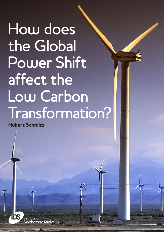How does the Global Power Shift affect the Low Carbon Transformation?

 $We that$ 

Hubert Schmitz



**Institute of** Development Studies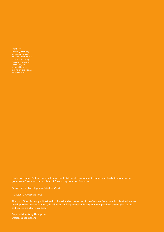Front cover

Towering electricity generating turbines Xinjiang Province in China. They are coming off the distant Altai Mountains.

Professor Hubert Schmitz is a Fellow of the Institute of Development Studies and leads its work on the green transformation. www.ids.ac.uk/research/greentransformation

© Institute of Development Studies, 2013

AG Level 2 Output ID: 515

This is an Open Access publication distributed under the terms of the Creative Commons Attribution License, which permits unrestricted use, distribution, and reproduction in any medium, provided the original author and source are clearly credited.

Copy-editing: Amy Thompson Design: Lance Bellers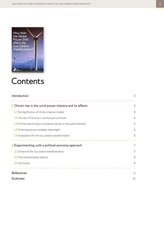

# **Contents**

| Introduction                                                    | 2              |
|-----------------------------------------------------------------|----------------|
| 1 China's rise in the wind power industry and its effects       | 3              |
| 1.1 The significance of China's internal market                 | 3              |
| 1.2 The rise of China as a wind power producer                  | $\overline{4}$ |
| 1.3 Is China becoming an innovation power in the wind industry? | 5              |
| 1.4 Financing power: strategic advantage?                       | 5              |
| 1.5 Implications for the low carbon transformation              | 6              |
| 2 Experimenting with a political economy approach               | 7              |
| 2.1 Drivers of the low carbon transformation                    | 7              |
| 2.2 The transformative alliance                                 | 8              |
| 2.3 The future                                                  | 9              |
| <b>References</b>                                               | 11             |
| <b>Endnotes</b>                                                 | 12             |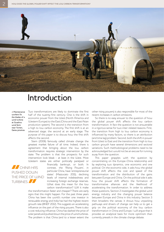

## Introduction

A Maintenance workers fix the blades of a wind turbine at Guazhou  $wind$  farm near Yumen, Gansu province.

**A** CHINA HAS PUSHED DOWN

TURBINES.

Two transformations are likely to dominate the first half of the twenty-first century. One is the shift in economic power from the West (North America and Western Europe) to the East (China and the East Asian production system). The second is the transition from a high to low carbon economy. The first shift is at an advanced stage; the second at an early stage. The purpose of this paper is to discuss how the first shift affects the second.

Stern (2006) famously called climate change the greatest market failure of all time. Indeed, there is agreement that bringing about the low carbon transformation requires strategic intervention by the state. The problem is that the prospects for such intervention look bleak – at least in the West. Most Western states are either politically paralysed or

financially bankrupt, or both. In contrast, the 'Rising Powers', in particular China, have 'entrepreneurial states' (Mazzucato 2011), declining levels of internal indebtedness and increasing foreign exchange reserves. What does this mean for the low carbon transformation? Will it make THE PRICE OF WIND

the transformation faster and cheaper? There are early signs that this might happen. For the past three years China has been the world's number one investor in renewable energy and India has had the highest recent growth rate (BNEF 2012). This suggests an accelerating influence on the part of the rising powers. There is also a cost reducing influence; China has slashed the price of solar panels and pushed down the price of wind turbines. The problem is that China (and to a lesser extent the

other rising powers) is also responsible for most of the recent increases in carbon emissions.

So there is no easy answer to the question of how the global power shift affects the low carbon transformation. In fact the question is not answerable in a rigorous sense for two inter-related reasons. First, the transition from high to low carbon economy is influenced by many factors, so there is an attribution (and time lag) problem. Second, both the shift in power from West to East and the transition from high to low carbon growth have several dimensions and sectoral variations. Such methodological problems need to be acknowledged but would not be an excuse for running away from the question.

This paper grapples with the question by concentrating on the Europe–China relationship and by exploring two dynamics, one economic and one political. On the economic side, it asks how the global power shift affects the cost and speed of the transformation and the distribution of the gains between Europe and China. On the political side it asks how the power shift affects the formation of transformative alliances and the likelihood of accelerating the transformation. In order to address these questions, Section 2 investigates the global wind energy industry and the changing power balance between Europe and China in this industry. Section 3 then broadens the canvas; it shows how unpacking pathways and drivers of change can help us to get a grip on the political economy of the low carbon transformation in China and Europe. I will argue that it provides an analytical basis for more optimism than currently prevails in the climate change debate.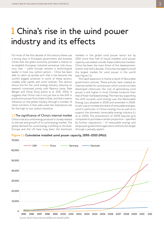# 1 China's rise in the wind power industry and its effects

For most of the first decade of this century there was a strong view in European government and business circles that the green economy provided a chance to re-establish European industrial eminence. We know now that – while Europe remains a technological leader in most low carbon sectors – China has been able to catch up quickly such that it has become the world's biggest producer in some of these sectors, notably solar panels and wind turbines. This section shows this for the wind energy industry, drawing on research conducted jointly with Rasmus Lema, Axel Berger and Hong Song (Lema *et al*. 2011, 2012). It suggests that China's rise is not just due to the shift in production power from West to East, and that it exerts influence on the global industry through a number of other corridors. It then asks what the implications are for the high to low carbon transition.

#### 1.1 The significance of China's internal market

China's rise as a wind energy producer is closely related to the size and growth of its wind energy market. The global demand for wind energy is shifting to the East. Europe and the US have long been the dominant

markets in the global wind power sector but by 2010 more than half of newly installed wind power capacity was added outside these traditional markets. China has been the main driver of this development. Within only half a decade, China has managed to build the largest market for wind power in the world (see Figure 1.1).

This rapid expansion is mainly a result of favourable government policies. These policies have created an internal market for wind power which would not have developed otherwise: the cost of generating wind power is still higher in most Chinese locations than that of fossil-fuel based energy. The main law supporting the shift towards wind energy was the Renewable Energy Law adopted in 2005 and amended in 2009. Its aim was to increase the share of renewable energies, wind in particular, in China's energy mix as well as to support the domestic renewable energy industry (Li et al. 2010). The amendment of 2009 requires grid companies to purchase a certain proportion – specified by further regulations – of renewable energy and empowers government agencies to enforce this target through a penalty system.

**Figure 1.1 Cumulative installed wind power capacity, 1995–2010 (MW)**

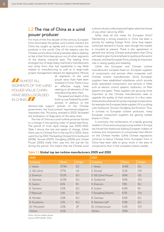### 1.2 The rise of China as a wind power producer

For most of the first decade of this century, European firms dominated the global wind turbine industry but China has caught up rapidly and is now number one producer in the world. One of the reasons why the Chinese wind turbine industry has been able to develop so fast is that firms have grown out of other segments of the diverse industrial base. The leading firms emerged out of large heavy machinery manufacturers and utility firms that had capabilities in key fields related to manufacturing as well as in large-scale project management relevant for deployment. Almost

#### **ALMOST ALL** SEGMENTS OF THE WIND POWER VALUE CHAIN HAVE BEEN LOCALISED IN CHINA.

all segments of the wind power value chain have been localised in China. There is now an effective supply base catering to all elements of the manufacturing value chain.

The speed and depth of this build up was fostered by public policies. In addition to the

demand-side support policies of the Chinese government, the 'local content' requirement played an important role. This policy, enacted in 2003, facilitated the localisation of large parts of the value chain.

The rise of China as a wind turbine producer has led to a change in the pecking order of global lead firms. The period of most rapid change was 2005–2010. Table 1 shows the size and speed of change. While there was no Chinese firm in the top 10 in 2005, there were four by 2010. The leading Chinese firms Goldwind (2006), Sinovel (2007), Dongfang (2009) and United Power (2010) made their way into the top-ten list during this period. This meant that the Chinese wind

turbine industry collectively had higher sales than those of any other nation by 2010.

What does all this mean for European firms? Maintaining a strong presence in China has been a priority for leading foreign firms, since they expect continued demand in future, even though the market is crowded at present. There is also agreement in general and among Chinese policymakers that China will need to give more emphasis to quality as the sector matures, and that European firms will play an important role in raising quality and reliability.

While the European and Chinese turbine manufacturers compete head-on, European suppliers of components and services often cooperate with Chinese turbine manufacturers. Some European suppliers have established subsidiaries which provide small, specialised components and services in fields such as electric control systems, hydraulics, oil filter systems and gears. These suppliers are growing more important as the Chinese manufacturers seek to upgrade the quality of their products. In a few cases, there are also alliances for producing large components; for example the European blade supplier LM is working with Goldwind, Sinovel, Dongfang and Envision. Thus, in contrast to European turbine producers, many European component suppliers are gaining market shares in China.

In summary, the combination of a rapidly growing market in China and a slowly growing market in Europe has forced the traditional leading European makers of turbines and components to concentrate their efforts on the Chinese market. While Chinese regulations continue to favour Chinese firms, European firms in China have been able to grow more in the area of components than in the complete turbine market.

#### **Table 1.1 Global top ten turbine manufacturers 2005 and 2010**

| 2005           |              |        | 2010                 |              |           |  |
|----------------|--------------|--------|----------------------|--------------|-----------|--|
| Company        | <b>Share</b> | Origin | Company              | <b>Share</b> | Origin    |  |
| 1. Vestas      | 27.9%        | EU     | 1. Vestas            | 14.8%        | EU        |  |
| 2. GE Wind     | 17.7%        | US     | 2. Sinovel           | 11.1%        | <b>CN</b> |  |
| 3. Enercon     | 13.2%        | EU     | 3. GE Wind Power     | 9.6%         | <b>US</b> |  |
| 4. Gamesa      | 12.9%        | EU     | 4. Goldwind          | 9.5%         | <b>CN</b> |  |
| 5. Suzlon      | 6.1%         | IN     | 5. Enercon           | 7.2%         | EU        |  |
| 6. Siemens     | 5.5%         | EU     | 6. Suzlon            | 6.9%         | IN        |  |
| 7. Repower     | 3.1%         | EU     | 7. Dongfang Electric | 6.7%         | <b>CN</b> |  |
| 8. Nordex      | 2.6%         | EU     | 8. Gamesa            | 6.6%         | EU        |  |
| 9. Ecotécnia   | 2.1%         | EU     | 9. Siemens U.IP      | 5.9%         | EU        |  |
| 10. Mitsubishi | 2.0%         | JP     | 10. United power     | 4.2%         | <b>CN</b> |  |
| Others         | 5.0%         |        | Others               | 17.5%        |           |  |

Note: World market shares Source: BTM (2006, 2011)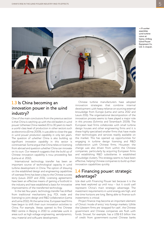$\triangleleft$  A worker assembles wind turbine rotors at Gansu Jinfeng Wind Power Equipment Co. Ltd. in Jiuquan.



### 1.3 Is China becoming an innovation power in the wind industry?

One of the main conclusions from the previous section is that China is catching up with the old leaders in wind power. Whereas China needed 20 to 30 years to reach a world-class level of production in other sectors such as electronics (Ernst 2009), it was able to close the gap in wind power *production capability* in only ten years. The question of whether China is also building up significant *innovation capability* in this sector is controversial. Some argue that China relies on licensing from abroad and question whether China can innovate on its own. Our research suggests that the build up of Chinese innovation capability is now proceeding fast (Lema *et al*. 2012).

International technology transfer has been an important source of technological capacity in wind turbine development in China. The option of drawing on the established design and engineering capabilities of overseas firms has been a key to the Chinese success story (Lewis 2007 and 2011). Licensing agreements have been an effective means of gaining a foothold in the industry and have established a basis for innovative improvements of the transferred technology.

In the last few years, technology transfer has shifted from traditional mechanisms (e.g. FDI, trade and licensing) to joint design and R&D collaboration (Lema and Lema 2012). At the same time, European lead firms have begun to shift their own innovation activities to China. For example, Vestas opened its first Chinese R&D centre in Beijing in 2010 to undertake work in areas such as high voltage engineering, aerodynamics, new material and software development.

Chinese turbine manufacturers have adopted innovation strategies that combine internal development with heavy reliance on sourcing external knowledge from Europe (Lema and Lema 2012 and Lewis 2011). The organisational decomposition of the innovation process seems to have played a major role in this process (Schmitz and Strambach 2009). The European lead firms collaborate with small turbine design houses and other engineering firms and it is these highly specialised smaller firms that have made their technologies and services readily available on the market. This has opened up opportunities for engaging in turbine design licensing and R&D collaboration with Chinese firms. However, the change was also driven from within the Chinese companies, particularly by acquiring European firms and establishing R&D subsidiaries in established knowledge clusters. This strategy seems to have been effective, helping Chinese companies to build up their innovation capabilities quickly.

#### 1.4 Financing power: strategic advantage?

We deal with Financing Power last because it is the area least explored up until now – but it could well represent China's main strategic advantage. The investment requirements in wind energy are high, and the time horizons are long. Being able to finance such investments is critical.

Project finance may become an important element of China's 'mode of entry' into foreign markets. While the Western firms are 'strapped for cash', the Chinese government and Chinese companies are flush with funds. Sinovel, for example, has a US\$ 6.5 billion line of credit from government-owned Chinese banks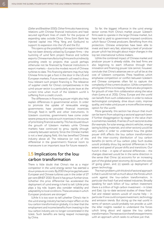(Zeller and Bradsher 2010). Other firms also have strong relations with Chinese financial institutions and have secured significant lines of credit for the purpose of expanding sales outside China. China Exim Bank has injected capital into Ming Yang and Goldwind to support its expansion into the US and the EU.

This opens up the possibility of an export model that has not been directly utilised by European firms – the twinning of wind farm project finance and turbine exports. Chinese manufacturing firms are thus indirectly providing credit to projects that would perhaps otherwise not be financed by financial institutions in export markets – due to the modest record of Chinese turbines to date. This financing element may thus help Chinese firms to get a foot in the door in the US and European markets. Future research will need to show how relevant such project financing is. The relevance of supplier credit for China's competitiveness in the wind-power sector is a particularly acute issue at the current time when much of the Western world is suffering from a credit crunch.

The differences in financing power might also help explain differences in governmental action. In order to promote the uptake of renewable energy, governments have provided financial incentives through feed-in tariffs and other instruments. In Western countries, governments have come under severe pressure to reduce such incentives in the course of prioritising financial austerity. This has slowed down the growth of Western markets while Chinese markets have continued to grow rapidly (though unevenly between sectors). Since the Chinese market is not a level playing field, this has benefited Chinese industry above all. The relevance (or not) of this differential in the government's financial room to manoeuvre is an important issue for future research.

#### 1.5 Implications for the low carbon transformation

There is little doubt that China's rise as a major competitor in the wind energy sector has exerted a down pressure on costs. By 2010 the price gap between European and Chinese turbines was in the order of 27 per cent (BNEF 2010: 9) and it has grown further since. Whether this price differential has accelerated the deployment of wind energy is hard to tell. While price plays a big role, buyers also consider reliability and adaptability to local conditions. These are areas in which European producers are stronger.<sup>1</sup>

While it is too soon to tell whether China's rise in the wind energy industry has had a major effect on the low carbon transformation globally, it is clear that the employment and income benefits from investing in the low carbon industry are no longer concentrated in the West. Such benefits are being reaped increasingly by China.

So far, the biggest influence in the wind energy sector comes from China's market power. Western firms seek to operate in the large Chinese market, but have had to yield to government-imposed conditions which favour Chinese producers. Benefiting from this protection, Chinese enterprises have been able to invest and learn very fast, attaining a level of producer power which has brought about major changes in the top ten international turbine makers.

While the combined impact of Chinese market and producer power is already visible, the lead firms are also beginning to exert influence through their innovation and financing power. We cannot, however, conclude that China's advances are or will all be at the cost of Western companies. Press headlines which emphasise competition or conflict between Western and Chinese companies often fail to capture the complexity of the current situation. While competition among lead firms is increasing, there are also prospects for growth of inter-firm collaboration along the value chain (Lema *et al.* 2011). China, Europe and the world can benefit from such collaboration in order to reduce technological complexity, drive down costs, improve quality, and make wind power a more effective energy option for the world.

More generally, this section has shown that much can be learnt from adopting a sectoral approach (even if further disaggregation by stages in the value chain is sometimes needed). A series of such sectoral studies (for example, for solar energy, electric vehicles, energy saving building materials, and other sectors) would be very useful in order to understand how the global power shift affects the low carbon transformation and the inter-country distribution of low carbon benefits (in terms of low carbon jobs). Such studies would probably show big sectoral differences in the extent and speed of power shifts and transitions. Our hunch is that  $-$  in spite of sectoral differences  $-$  the changes observed would be in the same direction in the sense that China: (a) accounts for an increasing part of the global green economy; (b) lowers the costs of going green, and; (c) speeds up deployment of green technology.

The main problem with this kind of sectoral approach is that it would not tell us much about the forces which work against the low-carbon transformation, in particular the fossil-fuel and related industries. Broadly speaking for each billion of low carbon investment there is a trillion of high carbon investment – in West and East. Up-to-date sectoral studies of these fossilfuel and related sectors would of course help – in particular if one could compare investment, technology and emission trends. But slicing up the real world in terms of sectors would probably not provide us with the killer insights needed to understand the forces which bring about and oppose the low carbon transformation. The next section therefore experiments with an approach which seeks to achieve just that.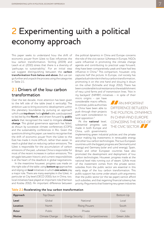# 2 Experimenting with a political economy approach

This paper seeks to understand how the shift of economic power from West to East influences the low carbon transformation. Stirling (2009) and Leach *et al.* (2010) stress that there is a diversity of 'pathways to sustainability'. For an initial step we suggest distinguishing between the **carbon transformation from below and above.** But we can go further and unpack the process using the categories in Table 2.1.

#### 2.1 Drivers of the low carbon transformation

Over the last decade, most attention has been given to the left side of the table (read it vertically). The ambition was to bring economic development within the planetary boundaries by pursuing an approach which was **top down**, had a **global** scale, was (supposed to be) led by the **North**, and driven forward by **public actors** that recognised the need to mitigate **climate change**. This global governance approach has failed, as shown by successive climate conferences (COPS) and the sustainability conferences in Rio. Given the questions driving this paper, we need to recognise that the shift of economic power from the West to the East has made it more difficult, rather than easier, to reach a global deal on reducing carbon emissions. The West is responsible for the accumulation of carbon emissions of the past, whereas China is responsible for most of the recent increases in carbon emissions. This struggle between historic and current responsibilities is at the heart of the deadlock in global negotiations.

In the meantime however, progress was made on the right side of the table: using **bottom up** approaches and relying on **local** initiatives in which **civic actors** play a major role. There are many examples in the West, in particular at City level (OECD 2010); but in China, too, local initiatives have played an important role (Harrison and Kostka 2012). An important difference between

the political dynamics in China and Europe concerns the role of the civic sector. Whereas in Europe, NGOs were influential in promoting the climate change agenda and contributing to practical ways forward, they have been comparatively weak and have had less influence in China.<sup>2</sup> This comparison, however, only captures half the picture. In Europe, civil society has played a dual role role in the low carbon transformation, promoting it on the one hand and slowing it down on the other (Schnelle and Voigt 2012). There has been considerable local resistance to the establishment of new wind farms and of transmission lines. 'Not in my backyard' (NIMBY) initiatives – in spite of their

micro origins – can have considerable macro effects. In contrast, public authorities in China have been able to push through their projects with scant consideration to local opposition.<sup>3</sup>

At the **national** level, substantial progress was made in both Europe and China, with governments

**AN IMPORTANT** DIFFERENCE BETWEEN THE POLITICAL DYNAMICS IN CHINA AND EUROPE CONCERNS THE ROLE OF THE CIVIC SECTOR.

implementing green industrial policies and the private sector making big investments in renewable energy and other low carbon technologies. The two European countries with the biggest progress are Denmark (wind energy) and Germany (solar and wind energy). Spain, Britain and other European countries have also promoted the development and deployment of low carbon technologies. However, progress made at the national level risks running out of steam. While most of the investment comes from the private sector, subsidies from the public sector are essential in this early stage of the low carbon transformation. This public support has come under attack with arguments that the public sector (or the tax payer) cannot afford such subsidies, and that regaining financial solvency has priority. Arguments that fostering new green industries

|  |  |  |  |  |  |  |  | Table 2.1 Accelerating the low carbon transformation |
|--|--|--|--|--|--|--|--|------------------------------------------------------|
|--|--|--|--|--|--|--|--|------------------------------------------------------|

| Approach      | Top Down       |                        | Bottom Up       |            |
|---------------|----------------|------------------------|-----------------|------------|
| Level         | Global         | National               | Local           |            |
| Location      | North          | <b>Rising Powers</b>   | South           |            |
| <b>Actor</b>  | <b>Public</b>  | Private                | <b>Civic</b>    |            |
| <b>Motive</b> | Climate Change | <b>Energy Security</b> | Competitiveness | Green Jobs |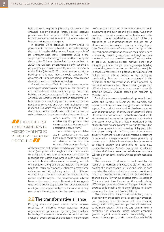helps to promote growth, jobs and public revenue are drowned out by opposing forces. Political paralysis prevails in much of Europe (and USA). This, in a nutshell, is the European situation, even if there are variations between countries and regions.

In contrast, China continues to storm ahead. Its government is not encumbered by national or foreign debt and it has the ability to act. A good example of its 'entrepreneurial state' (Mazzucato 2011) is the support for the solar energy industry. When European demand for Chinese photovoltaic panels declined in 2009, the Chinese government quickly launched a programme pushing up the deployment of such panels within China (Fischer 2012) in order to ensure that the build-up of this new industry could continue. The government is also providing substantial resources for developing new low carbon technology.

A vertical reading of Table 2.1 thus helps to categorise existing approaches: global top down, local bottom up and national-level initiatives (mainly top down but building on bottom up support). On their own, none of them will achieve the low carbon transformation. Most observers would agree that these approaches need to be combined and that multi-level governance is needed. But which force can bring this about? Recall that this is the first transformation in history that has to be achieved with purpose and against a deadline. In

**THIS IS THE FIRST** TRANSFORMATION IN HISTORY THAT HAS TO BE ACHIEVED AGAINST A DEADLINE.

other words, the task of accelerating the process takes centre stage. But where can this acceleration come from?

Here we turn again to Table 2.1, in particular the last two lines which focus on the range of relevant actors and the motives of these actors. Analysis

of these actors and motives needs to take four critical steps: (1) recognise that no single actor has the resources to bring about the low carbon transformation; (2) recognise that within government, within civil society and within business there are actors seeking to block or slow down the green transformation; (3) attention needs to focus on supportive alliances across these categories; and (4) including actors with different motives helps to understand and accelerate the low carbon transformation. The transformative alliance becomes the central concept. The next section suggests that this is a critical step to take, first for understanding what goes on within countries and second for seeing new possibilities of joint action between countries.

#### 2.2 The transformative alliance

Bringing about the green transformation requires resources of different types: expertise, money, organisational capacity, and legitimacy (one could add leadership). These resources tend to be distributed over a range of public, private and civic actors. It is therefore

useful to concentrate on alliances between actors in government and business and civil society. Who then can be considered a member of such alliance? Is the deciding criterion motivation or action? While it is tempting to let motivation count and opt for an alliance of the like-minded, this is a limiting step to take. There is a range of actors that can support the low carbon transformation through their action (such as investing, providing expertise, lobbying) but their motives for doing so can differ greatly. The bottom line of Table 2.1 suggests several motives other than mitigating climate change: securing energy, building competitive green industries, and fostering green jobs. In other words, there is a potential for alliances that include actors whose priority is not ecological sustainability. This can be a 'game changer' in the dynamics of the transformation. It is supported by historical research which shows actor groups with differing intentions advancing the change in a specific direction (WGBU 2011:85 drawing on research by Osterhammel).

Such alliances seem to have been important in both China and Europe. In Denmark, for example, the experimentation with wind energy received substantial support from politicians and business leaders concerned with energy security – in the wake of various oil crises. Actors with environmental motivations played a role at the start and increased in importance over time but they were never sufficient. Actors motivated by the chance to build a globally competitive hub (for providing wind energy solutions and creating highly paid jobs) have played a big role. In China, such alliances were equally if not more relevant. China's massive investment in renewable energy was not driven primarily by concerns with global climate change but by concerns to secure energy and ambitions to build new competitive sectors. Research in progress – conducted jointly with Chinese researchers – indicates that these were major concerns in both Chinese government and industry.

The relevance of alliances is confirmed by the research of Harrison and Kostka (2012) on the local politics of climate change in China and India. 'In both countries the ability to build and sustain coalitions is central to the effectiveness and sustainability of climate change policy. For various reasons, state strategies in China and India have focused on the need to bring different parties with otherwise divergent interests on board to build a coalition in favour of climate mitigation measures' (Harrison and Kostka 2012: 5).

The composition of such coalitions is likely to vary, depending on the specific policy or project in question, but economic interests concerned with securing energy and building new competitive industries tend to be major players. While not surprising in itself, it questions the discourse which pitches economic growth against environmental sustainability – so popular in many parts of the world (Dubasch 2009).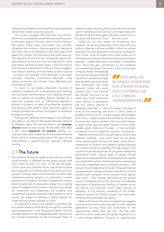Policies which foster structural transformation promote rather than hinder economic growth.

This is not to suggest that there are only winners. Far from it. Some stand to lose from the transformation. In the early stage of the low carbon transformation, the losers might even outnumber the winners. Whatever the numbers, they are agents of resistance and they need to be analysed in the same way as the agents of change. The opponents also seek alliances. The opposing forces are not necessarily against decarbonisation as such but they are fighting for their jobs and/or protecting their assets which are tied to fossil fuel and related sectors. Recent history suggests that they are fighting with all means at their disposal – as shown for example in the attempts to discredit scientists showing connections between rising carbon emissions and climate chaos (Blasberg and Kohlenberg 2012).

To return to our overall argument, focusing on alliances is essential for understanding and fostering the low carbon transformation. Such alliances are best seen as vehicles for bundling diverse interests for a particular purpose such as influencing legislation, policies, or projects. In order to be effective, analytical and political work needs to deal with both agents of change (prospective winners) and agents of resistance (prospective losers).

Putting such alliances centre stage is not sufficient. We need to be able to distinguish between alliances of different types. At one end there is the **strategic alliance** based on joint action. At the other end there is the mere **alignment of interest** without coordination between the parties. Both can be transitional (short term) or enduring (long term). All types can be instrumental in overcoming (or causing) collective inaction.

#### 2.3 The future

The question driving this paper is how the low carbon transformation is affected by the global power shift from West to East. For most of the last 40 years, China's economic transformation was driven forward by an alignment of interests favouring rapid economic growth. In recent years, environmental concerns have received increasing attention, in particular in central government. However, this cannot explain the massive recent investment in renewable energy. Our ongoing research suggests that concerns with securing energy for consumers and enterprises and building new competitive industries were also major drivers. In other words, the analysis of alliances is highly relevant for understanding recent changes in China.

As regards the future, the question is whether this low carbon alliance will be strong enough to curtail the planned expansion in coal-fired power plants. This will probably depend on the linkages between industry and the Central Committee of the Communist Party. A

research project showing the formal and informal links which members of the Central Committee have with the fossil fuel and renewable industries would tell us a lot about the future of China … and the world.

While we can only dream of conducting such research, we can anticipate that China's rise in the low carbon industries will have an effect on the low carbon alliances in Europe. Because of the strong competition from China, some European firms have pulled out of the solar power industry. Siemens is the most prominent example – widely reported in the media. Competition from China has also contributed to the problems encountered by Vestas, Denmark's iconic wind power

company. Vestas is increasingly sourcing services and material inputs from abroad and might even be taken over by an Asian firm (Interviews and Press Reports). While still world number one, it has become less Danish. The point to be made here is that it becomes more difficult to strengthen the low carbon alliance in

**FOCUSING ON** ALLIANCES IS ESSENTIAL FOR UNDERSTANDING AND FOSTERING THE LOW CARBON TRANSFORMATION.

Germany, Denmark or other European countries if most of the resulting jobs arise in China. What is excellent for the world – namely cheaper technologies from China – might only be a second best for European countries that seek to produce the new technologies. In other words, growing green power in China might weaken green alliances in Europe – if the dominant narrative is one of competition and zero sum games.

Alliance thinking could however help to build a very different narrative – one which does not set green China against green Europe but green versus brown irrespective of location and passport (green meaning low carbon and brown standing for high carbon). This would be especially important for progress in the global governance arena. Twenty years of global climate negotiations have yielded very little because the debate was conducted in terms of developed versus developing countries, established versus emerging powers, USA versus China, Europe versus China, etc. The governmental representatives of these countries or blocks of countries worked with narratives which pitched them against each other – even though decomposing the picture would immediately show that there are considerable alignments of interests and conflicts of interest across the (blocks of) countries which they claimed to represent. A big industry consisting of the media, research centres and NGOs bought into these false narratives and prolonged the agony.

Alliance thinking of the kind proposed here suggests a practical and more promising way forward: selective agreements among those who concentrate on the opportunities rather than the cost. The free rider dilemma, which holds back the global negotiations, is a cost-induced dilemma. Focusing on opportunities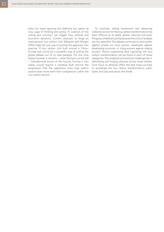does not mean ignoring this dilemma but opens up new ways of thinking and acting. A 'coalition of the willing and winning<sup>3</sup> can trigger new political and economic dynamics. Current attempts to forge an international 'low carbon club' (Messner and Morgan 2013) might be one way of putting this approach into practice. A low carbon club built around a China– Europe axis would be a powerful way of pulling the global debate out of its near-paralysis. For the time being however it remains – what Germans would call – *Zukunftsmusik* (music of the future). Turning it into reality would require a narrative built around the proposition that the opposition from high carbon sectors does more harm than competition within the low carbon sectors.

To conclude, raising investment and advancing collective action for the low carbon transformation has been difficult at all levels: global, national and local. Progress is held back partly because the units of analysis are mis-specified. The debate continues to pitch public against private (or civic) sectors, developed against developing countries, or rising powers against sinking powers. Actors supporting (and opposing) the low carbon transformation can be found in each of these categories. The analytical and practical challenge lies in identifying and forging alliances across these divides. Such focus on alliances offers the best hope we have to accelerate the low carbon transformation *within* West and East and *across* the divide.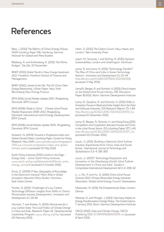## References

Betz, J. (2013) *The Reform of China's Energy Policies*, GIGA Working Paper 216, Hamburg: German Institute for Global and Area Studies

Blasberg, A. and Kohlenberg, K. (2012) 'Die Klima Krieger', *Die Zeit*, 22 November

BNEF (2012) *Global Trends in New Energy Investment 2012*, Frankfurt: Frankfurt School of Finance and Management

BNEF (2010) *Joined at the Hip: The US-China Clean Energy Relationship*, White Paper, New York: Bloomberg New Energy Finance

BTM (2011) *World Market Update 2010*, Ringkøbing, Denmark: BTM Consult

BTM (2008) *'Made in China' – Chinese Wind Power Market Assessment 2008–2012*, Ringkøbing, Denmark: International Wind Energy Development, BTM Consult

BTM (2006) *World Market Update 2005*, Ringkøbing, Denmark: BTM Consult

Dubasch, N. (2009) *Towards a Progressive Indian and Global Climate Politics*, Working Paper, Centre for Policy [Research, New Delhi www.cprindia.org/workingpapers/](http://www.cprindia.org/page/working-papers)  2701-wp-1-toward-progressive-indian-and-globalclimate-politics (accessed 02 May 2013)

Earth Policy Institute (2010) *World on the Edge – Energy Data – Wind*, Earth Policy Institute, [www.earth-policy.org/datacenter/pdf/book\\_wote\\_](www.earth-policy.org/datacenter/pdf/book_wote_energy_wind.pdf) energy\_wind.pdf (accessed 2 October 2012)

Ernst, D. (2009) *A New Geography of Knowledge in the Electronics Industry? Asia's Role in Global Innovation Networks Policy Studies*, Honolulu: East-West Center

Fischer, D. (2012) 'Challenges of Low Carbon Technology Diffusion: Insights from Shifts in China's Photovoltaic Industry Development', *Innovation and Development* 2.1: 131-46

Harrison, T. and Kostka, G. (2012) *Manoeuvres for a Low Carbon State: The Local Politics of Climate Change in China and Indi*a, Research Paper 22, Developmental Leadership Program; www.dlprog.org/ftp/ (accessed 20 February 2013)

Helm, D. (2012) *The Carbon Crunch,* New Haven and London: Yale University Press

Leach, M.; Scoones, I. and Stirling, A. (2010) *Dynamic Sustainabilities*, London and Washington: Earthscan

Lema, R. and Lema, A. (2012) 'Technology Transfer? The Rise of China and India in Green Technology Sectors', *Innovation and Development* 2.1: 23–44 http://dx.doi.org/10.1080/2157930X.2012.667206 (accessed 2 May 2013)

Lema,R.; Berger, A. and Schmitz, H. (2012) *China's Impact on the Global Wind Power Industry*, DIE Discussion Paper 16/2012, Bonn: German Development Institute

Lema, R.; Quadros, R. and Schmitz, H. (2012) *Shifts in Innovation Power to Brazil and India: Insights from the Auto and Software Industries*, IDS Research Report 73: 1–84 http://dx.doi.org/10.1111/j.2040-0217.2012.00073\_2.x (accessed 10 December 2013)

Lema, R.; Berger, A.; Schmitz, H. and Hong Song (2011) *Competition and Cooperation between Europe and China in the Wind Power Sector*, IDS Working Paper 377: 1–45 http://dx.doi.org/10.1111/j.2040-0209.2011.00377\_2.x (accessed 02 October 2012)

Lewis, J.I. (2011) 'Building a National Wind Turbine Industry: Experiences from China, India and South Korea', *International Journal of Technology* and Globalisation 5.3–4: 281–305

Lewis, J.I. (2007) 'Technology Acquisition and Innovation in the Developing World: Wind Turbine Development in China and India', *Studies in Comparative International Development* 42.3–4: 208–32

Li, J.; Shi, P. and Hu, G. (2010) *China Wind Power Outlook 2010: Chinese Renewable Energy Industries Association*, Global Wind Energy Council, Greenpeace

Mazzucato, M. (2011) *The Entrepreneurial State*, London: Demos

Messner, D. and Morgan, J. (2013) 'Germany Needs an Energy Transformation Foreign Policy', *The Current Column*, 7 January 2013, Bonn: German Development Institute

OECD (2010) *Cities and Climate Change*, OECD Publishing DOI: 10.1787/9789264091375-en (accessed 8 April 2013)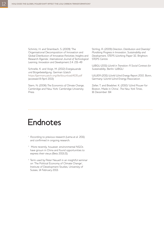Schmitz, H. and Strambach, S. (2009) 'The Organisational Decomposition of Innovation and Global Distribution of Innovative Activities: Insights and Research Agenda', *International Journal of Technological Learning, Innovation and Development* 2.4: 231–49

Schnelle, K. and Voigt, M. (2012) *Energiewende und Bürgerbeteiligung*, German Watch https://germanwatch.org/de/download/4135.pdf (accessed 8 April 2013)

Stern, N. (2006) *The Economics of Climate Change*, Cambridge and New York: Cambridge University Press

Stirling, A. (2009) *Direction, Distribution and Diversity! Pluralising Progress in Innovation, Sustainability and Development*, STEPS Working Paper 32, Brighton: STEPS Centre

WBGU (2011) *World in Transition: A Social Contract for Sustainability*, Berlin: WBGU

WWEA (2011) *World Wind Energy Report 2010*, Bonn, Germany: World Wind Energy Association

Zeller, T. and Bradsher, K. (2010) 'Wind Power for Boston, Made in China', *The New York Times*, 16 December: B4

### Endnotes

- <sup>1</sup> According to previous research (Lema et al. 2011) and confirmed in ongoing research.
- <sup>2</sup> More recently, however, environmental NGOs have grown in China and found opportunities to express their views (Betz 2013:21).
- <sup>3</sup> Term used by Peter Newell in an insightful seminar on 'The Political Economy of Climate Change', Institute of Development Studies, University of Sussex, 14 February 2013.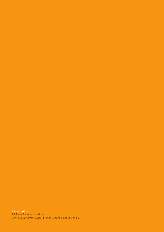**Photo credits** All Panos Pictures, as follows: Chris Stowers (front cover); Markel Redondo (pages 2 and 5)